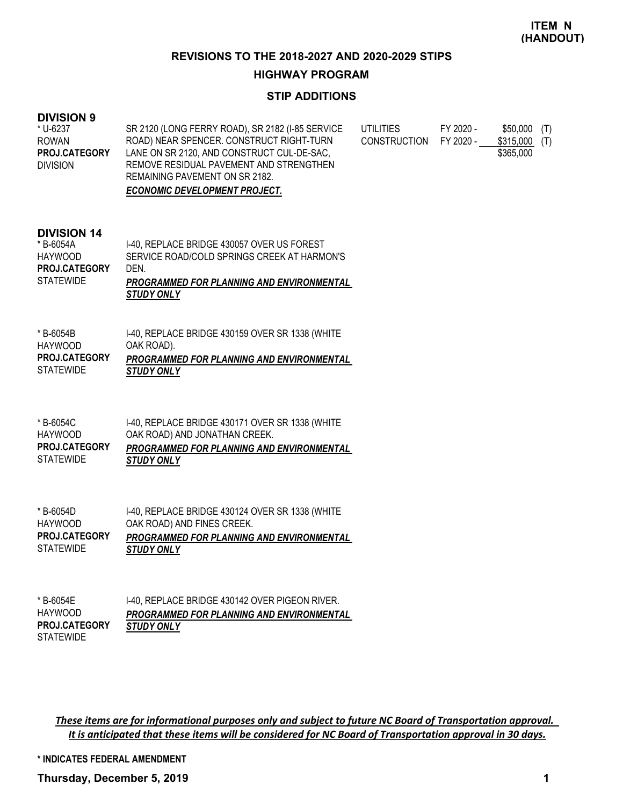## **REVISIONS TO THE 2018-2027 AND 2020-2029 STIPS**

#### **HIGHWAY PROGRAM**

## **STIP ADDITIONS**

## **DIVISION 9**

| * U-6237             | SR 2120 (LONG FERRY ROAD), SR 2182 (I-85 SERVICE | UTILITIES    | FY 2020 - | \$50,000 (T)     |
|----------------------|--------------------------------------------------|--------------|-----------|------------------|
| <b>ROWAN</b>         | ROAD) NEAR SPENCER. CONSTRUCT RIGHT-TURN         | CONSTRUCTION | FY 2020 - | \$315,000<br>(T) |
| <b>PROJ.CATEGORY</b> | LANE ON SR 2120, AND CONSTRUCT CUL-DE-SAC,       |              |           | \$365,000        |
| <b>DIVISION</b>      | REMOVE RESIDUAL PAVEMENT AND STRENGTHEN          |              |           |                  |
|                      | REMAINING PAVEMENT ON SR 2182.                   |              |           |                  |
|                      | <b>ECONOMIC DEVELOPMENT PROJECT.</b>             |              |           |                  |

#### **DIVISION 14**

|                      | <b>STUDY ONLY</b>                                |
|----------------------|--------------------------------------------------|
| <b>STATEWIDE</b>     | <b>PROGRAMMED FOR PLANNING AND ENVIRONMENTAL</b> |
| <b>PROJ.CATEGORY</b> | DEN.                                             |
| HAYWOOD              | SERVICE ROAD/COLD SPRINGS CREEK AT HARMON'S      |
| * B-6054A            | 1-40, REPLACE BRIDGE 430057 OVER US FOREST       |

| * B-6054B            | 1-40, REPLACE BRIDGE 430159 OVER SR 1338 (WHITE  |
|----------------------|--------------------------------------------------|
| HAYWOOD              | OAK ROAD).                                       |
| <b>PROJ.CATEGORY</b> | <b>PROGRAMMED FOR PLANNING AND ENVIRONMENTAL</b> |
| <b>STATEWIDE</b>     | <b>STUDY ONLY</b>                                |

| * B-6054C            | 1-40, REPLACE BRIDGE 430171 OVER SR 1338 (WHITE  |
|----------------------|--------------------------------------------------|
| HAYWOOD              | OAK ROAD) AND JONATHAN CREEK.                    |
| <b>PROJ.CATEGORY</b> | <b>PROGRAMMED FOR PLANNING AND ENVIRONMENTAL</b> |
| <b>STATEWIDE</b>     | <b>STUDY ONLY</b>                                |

| * B-6054D ·          | 1-40, REPLACE BRIDGE 430124 OVER SR 1338 (WHITE  |
|----------------------|--------------------------------------------------|
| HAYWOOD              | OAK ROAD) AND FINES CREEK.                       |
| <b>PROJ.CATEGORY</b> | <b>PROGRAMMED FOR PLANNING AND ENVIRONMENTAL</b> |
| STATEWIDE            | <b>STUDY ONLY</b>                                |

| * B-6054E            | 1-40. REPLACE BRIDGE 430142 OVER PIGEON RIVER.   |
|----------------------|--------------------------------------------------|
| <b>HAYWOOD</b>       | <b>PROGRAMMED FOR PLANNING AND ENVIRONMENTAL</b> |
| <b>PROJ.CATEGORY</b> | <b>STUDY ONLY</b>                                |
| <b>STATEWIDE</b>     |                                                  |

*These items are for informational purposes only and subject to future NC Board of Transportation approval. It is anticipated that these items will be considered for NC Board of Transportation approval in 30 days.*

**\* INDICATES FEDERAL AMENDMENT**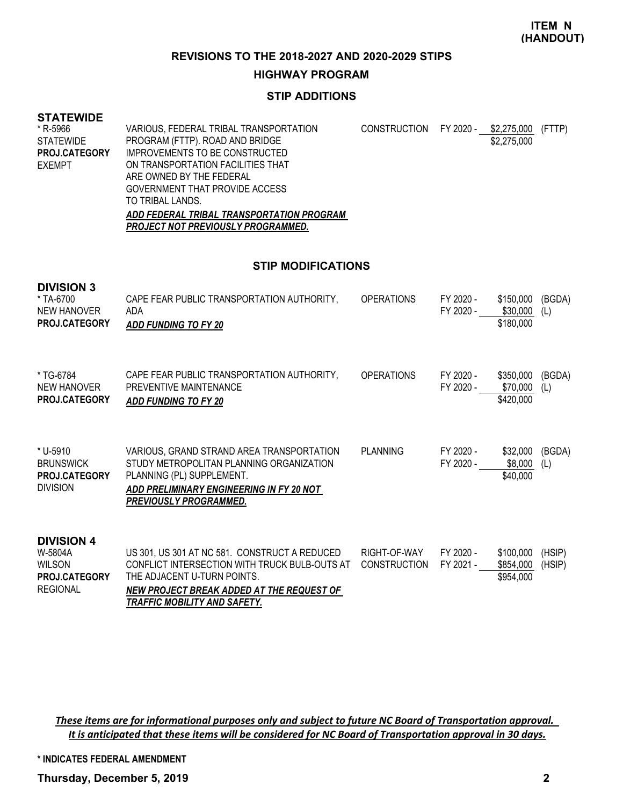**ITEM N (HANDOUT)**

**REVISIONS TO THE 2018-2027 AND 2020-2029 STIPS**

#### **HIGHWAY PROGRAM**

# **STIP ADDITIONS**

#### **STATEWIDE**

| * R-5966             | VARIOUS, FEDERAL TRIBAL TRANSPORTATION    | CONSTRUCTION FY 2020 - | \$2,275,000 (FTTP) |  |
|----------------------|-------------------------------------------|------------------------|--------------------|--|
| STATEWIDE            | PROGRAM (FTTP). ROAD AND BRIDGE           |                        | \$2,275,000        |  |
| <b>PROJ.CATEGORY</b> | IMPROVEMENTS TO BE CONSTRUCTED            |                        |                    |  |
| EXEMPT               | ON TRANSPORTATION FACILITIES THAT         |                        |                    |  |
|                      | ARE OWNED BY THE FEDERAL                  |                        |                    |  |
|                      | GOVERNMENT THAT PROVIDE ACCESS            |                        |                    |  |
|                      | TO TRIBAL LANDS.                          |                        |                    |  |
|                      | ADD FEDERAL TRIBAL TRANSPORTATION PROGRAM |                        |                    |  |
|                      | PROJECT NOT PREVIOUSLY PROGRAMMED.        |                        |                    |  |

#### **STIP MODIFICATIONS**

| <b>DIVISION 3</b><br>* TA-6700<br>NEW HANOVER<br>PROJ.CATEGORY                           | CAPE FEAR PUBLIC TRANSPORTATION AUTHORITY,<br><b>ADA</b><br><b>ADD FUNDING TO FY 20</b>                                                                                                                    | <b>OPERATIONS</b>                   | FY 2020 -<br>FY 2020 - | \$150,000<br>\$30,000<br>\$180,000  | (BGDA)<br>(L)    |
|------------------------------------------------------------------------------------------|------------------------------------------------------------------------------------------------------------------------------------------------------------------------------------------------------------|-------------------------------------|------------------------|-------------------------------------|------------------|
| * TG-6784<br>NEW HANOVER<br>PROJ.CATEGORY                                                | CAPE FEAR PUBLIC TRANSPORTATION AUTHORITY,<br>PREVENTIVE MAINTENANCE<br><b>ADD FUNDING TO FY 20</b>                                                                                                        | <b>OPERATIONS</b>                   | FY 2020 -<br>FY 2020 - | \$350,000<br>\$70,000<br>\$420,000  | (BGDA)<br>(L)    |
| * U-5910<br><b>BRUNSWICK</b><br>PROJ.CATEGORY<br><b>DIVISION</b>                         | VARIOUS. GRAND STRAND AREA TRANSPORTATION<br>STUDY METROPOLITAN PLANNING ORGANIZATION<br>PLANNING (PL) SUPPLEMENT.<br>ADD PRELIMINARY ENGINEERING IN FY 20 NOT<br><b>PREVIOUSLY PROGRAMMED.</b>            | PLANNING                            | FY 2020 -<br>FY 2020 - | \$32,000<br>\$8,000<br>\$40,000     | (BGDA)<br>(L)    |
| <b>DIVISION 4</b><br>W-5804A<br><b>WILSON</b><br><b>PROJ.CATEGORY</b><br><b>REGIONAL</b> | US 301, US 301 AT NC 581. CONSTRUCT A REDUCED<br>CONFLICT INTERSECTION WITH TRUCK BULB-OUTS AT<br>THE ADJACENT U-TURN POINTS.<br>NEW PROJECT BREAK ADDED AT THE REQUEST OF<br>TRAFFIC MOBILITY AND SAFETY. | RIGHT-OF-WAY<br><b>CONSTRUCTION</b> | FY 2020 -<br>FY 2021 - | \$100,000<br>\$854,000<br>\$954,000 | (HSIP)<br>(HSIP) |

*These items are for informational purposes only and subject to future NC Board of Transportation approval. It is anticipated that these items will be considered for NC Board of Transportation approval in 30 days.*

**\* INDICATES FEDERAL AMENDMENT**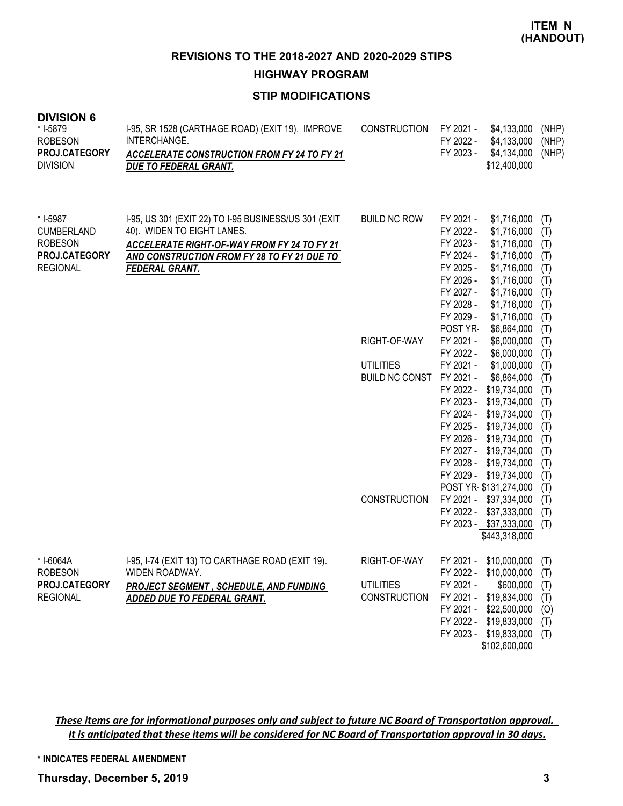**REVISIONS TO THE 2018-2027 AND 2020-2029 STIPS**

**HIGHWAY PROGRAM**

# **STIP MODIFICATIONS**

| <b>DIVISION 6</b><br>* I-5879<br><b>ROBESON</b><br>PROJ.CATEGORY<br><b>DIVISION</b> | I-95, SR 1528 (CARTHAGE ROAD) (EXIT 19). IMPROVE<br>INTERCHANGE.<br><b>ACCELERATE CONSTRUCTION FROM FY 24 TO FY 21</b><br>DUE TO FEDERAL GRANT.                                                           | <b>CONSTRUCTION</b>   | FY 2021 -<br>\$4,133,000<br>FY 2022 -<br>\$4,133,000<br>FY 2023 -<br>\$4,134,000<br>\$12,400,000                                                                                                                                                                                    | (NHP)<br>(NHP)<br>(NHP)                                            |
|-------------------------------------------------------------------------------------|-----------------------------------------------------------------------------------------------------------------------------------------------------------------------------------------------------------|-----------------------|-------------------------------------------------------------------------------------------------------------------------------------------------------------------------------------------------------------------------------------------------------------------------------------|--------------------------------------------------------------------|
| * I-5987<br><b>CUMBERLAND</b><br><b>ROBESON</b><br>PROJ.CATEGORY<br><b>REGIONAL</b> | 1-95, US 301 (EXIT 22) TO 1-95 BUSINESS/US 301 (EXIT<br>40). WIDEN TO EIGHT LANES.<br>ACCELERATE RIGHT-OF-WAY FROM FY 24 TO FY 21<br>AND CONSTRUCTION FROM FY 28 TO FY 21 DUE TO<br><b>FEDERAL GRANT.</b> | <b>BUILD NC ROW</b>   | FY 2021 -<br>\$1,716,000<br>FY 2022 -<br>\$1,716,000<br>FY 2023 -<br>\$1,716,000<br>\$1,716,000<br>FY 2024 -<br>FY 2025 -<br>\$1,716,000<br>FY 2026 -<br>\$1,716,000<br>FY 2027 -<br>\$1,716,000<br>FY 2028 -<br>\$1,716,000<br>FY 2029 -<br>\$1,716,000<br>POST YR-<br>\$6,864,000 | (T)<br>(T)<br>(T)<br>(T)<br>(T)<br>(T)<br>(T)<br>(T)<br>(T)<br>(T) |
|                                                                                     |                                                                                                                                                                                                           | RIGHT-OF-WAY          | FY 2021 -<br>\$6,000,000<br>FY 2022 -<br>\$6,000,000                                                                                                                                                                                                                                | (T)<br>(T)                                                         |
|                                                                                     |                                                                                                                                                                                                           | <b>UTILITIES</b>      | FY 2021 -<br>\$1,000,000                                                                                                                                                                                                                                                            | (T)                                                                |
|                                                                                     |                                                                                                                                                                                                           | <b>BUILD NC CONST</b> | FY 2021 -<br>\$6,864,000                                                                                                                                                                                                                                                            | (T)                                                                |
|                                                                                     |                                                                                                                                                                                                           |                       | FY 2022 -<br>\$19,734,000                                                                                                                                                                                                                                                           | (T)                                                                |
|                                                                                     |                                                                                                                                                                                                           |                       | FY 2023 -<br>\$19,734,000                                                                                                                                                                                                                                                           |                                                                    |
|                                                                                     |                                                                                                                                                                                                           |                       | FY 2024 -                                                                                                                                                                                                                                                                           | (T)                                                                |
|                                                                                     |                                                                                                                                                                                                           |                       | \$19,734,000                                                                                                                                                                                                                                                                        | (T)                                                                |
|                                                                                     |                                                                                                                                                                                                           |                       | FY 2025 -<br>\$19,734,000                                                                                                                                                                                                                                                           | (T)                                                                |
|                                                                                     |                                                                                                                                                                                                           |                       | FY 2026 -<br>\$19,734,000                                                                                                                                                                                                                                                           | (T)                                                                |
|                                                                                     |                                                                                                                                                                                                           |                       | FY 2027 -<br>\$19,734,000                                                                                                                                                                                                                                                           | (T)                                                                |
|                                                                                     |                                                                                                                                                                                                           |                       | FY 2028 -<br>\$19,734,000                                                                                                                                                                                                                                                           | (T)                                                                |
|                                                                                     |                                                                                                                                                                                                           |                       | \$19,734,000<br>FY 2029 -                                                                                                                                                                                                                                                           | (T)                                                                |
|                                                                                     |                                                                                                                                                                                                           |                       | POST YR- \$131,274,000                                                                                                                                                                                                                                                              | (T)                                                                |
|                                                                                     |                                                                                                                                                                                                           | <b>CONSTRUCTION</b>   | FY 2021 - \$37,334,000                                                                                                                                                                                                                                                              | (T)                                                                |
|                                                                                     |                                                                                                                                                                                                           |                       | FY 2022 -<br>\$37,333,000                                                                                                                                                                                                                                                           | (T)                                                                |
|                                                                                     |                                                                                                                                                                                                           |                       | FY 2023 - \$37,333,000                                                                                                                                                                                                                                                              | (T)                                                                |
|                                                                                     |                                                                                                                                                                                                           |                       | \$443,318,000                                                                                                                                                                                                                                                                       |                                                                    |
| * I-6064A                                                                           | I-95, I-74 (EXIT 13) TO CARTHAGE ROAD (EXIT 19).                                                                                                                                                          | RIGHT-OF-WAY          | FY 2021 -<br>\$10,000,000                                                                                                                                                                                                                                                           | (T)                                                                |
| <b>ROBESON</b>                                                                      | WIDEN ROADWAY.                                                                                                                                                                                            |                       | FY 2022 - \$10,000,000                                                                                                                                                                                                                                                              | (T)                                                                |
| PROJ.CATEGORY                                                                       | <b>PROJECT SEGMENT, SCHEDULE, AND FUNDING</b>                                                                                                                                                             | <b>UTILITIES</b>      | FY 2021 -<br>\$600,000                                                                                                                                                                                                                                                              | (T)                                                                |
| <b>REGIONAL</b>                                                                     | ADDED DUE TO FEDERAL GRANT.                                                                                                                                                                               | <b>CONSTRUCTION</b>   | \$19,834,000<br>FY 2021 -                                                                                                                                                                                                                                                           | (T)                                                                |
|                                                                                     |                                                                                                                                                                                                           |                       | FY 2021 - \$22,500,000                                                                                                                                                                                                                                                              | (0)                                                                |
|                                                                                     |                                                                                                                                                                                                           |                       | FY 2022 - \$19,833,000                                                                                                                                                                                                                                                              | (T)                                                                |
|                                                                                     |                                                                                                                                                                                                           |                       | FY 2023 - \$19,833,000                                                                                                                                                                                                                                                              | (T)                                                                |
|                                                                                     |                                                                                                                                                                                                           |                       | \$102,600,000                                                                                                                                                                                                                                                                       |                                                                    |
|                                                                                     |                                                                                                                                                                                                           |                       |                                                                                                                                                                                                                                                                                     |                                                                    |

*These items are for informational purposes only and subject to future NC Board of Transportation approval. It is anticipated that these items will be considered for NC Board of Transportation approval in 30 days.*

#### **\* INDICATES FEDERAL AMENDMENT**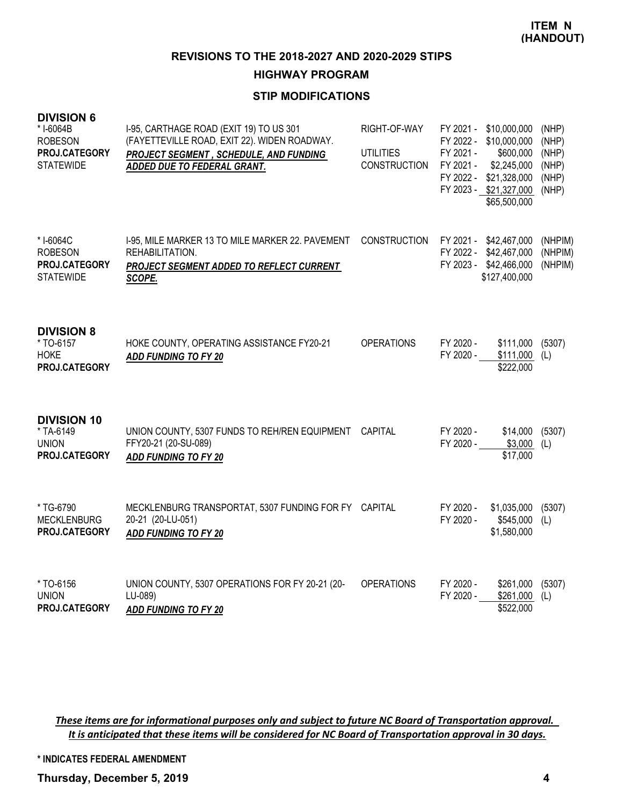**REVISIONS TO THE 2018-2027 AND 2020-2029 STIPS**

## **HIGHWAY PROGRAM**

# **STIP MODIFICATIONS**

| <b>DIVISION 6</b><br>* I-6064B<br><b>ROBESON</b><br>PROJ.CATEGORY<br><b>STATEWIDE</b> | I-95, CARTHAGE ROAD (EXIT 19) TO US 301<br>(FAYETTEVILLE ROAD, EXIT 22). WIDEN ROADWAY.<br>PROJECT SEGMENT, SCHEDULE, AND FUNDING<br>ADDED DUE TO FEDERAL GRANT. | RIGHT-OF-WAY<br><b>UTILITIES</b><br><b>CONSTRUCTION</b> | FY 2021 -<br>FY 2022 -<br>FY 2021 -<br>FY 2021 -<br>FY 2022 - | \$10,000,000<br>\$10,000,000<br>\$600,000<br>\$2,245,000<br>\$21,328,000<br>FY 2023 - \$21,327,000<br>\$65,500,000 | (NHP)<br>(NHP)<br>(NHP)<br>(NHP)<br>(NHP)<br>(NHP) |
|---------------------------------------------------------------------------------------|------------------------------------------------------------------------------------------------------------------------------------------------------------------|---------------------------------------------------------|---------------------------------------------------------------|--------------------------------------------------------------------------------------------------------------------|----------------------------------------------------|
| * I-6064C<br><b>ROBESON</b><br>PROJ.CATEGORY<br><b>STATEWIDE</b>                      | I-95, MILE MARKER 13 TO MILE MARKER 22. PAVEMENT<br>REHABILITATION.<br>PROJECT SEGMENT ADDED TO REFLECT CURRENT<br>SCOPE.                                        | CONSTRUCTION                                            | FY 2021 -<br>FY 2022 -<br>FY 2023 -                           | \$42,467,000<br>\$42,467,000<br>\$42,466,000<br>\$127,400,000                                                      | (NHPIM)<br>(NHPIM)<br>(NHPIM)                      |
| <b>DIVISION 8</b><br>* TO-6157<br><b>HOKE</b><br>PROJ.CATEGORY                        | HOKE COUNTY, OPERATING ASSISTANCE FY20-21<br><b>ADD FUNDING TO FY 20</b>                                                                                         | <b>OPERATIONS</b>                                       | FY 2020 -<br>FY 2020 -                                        | \$111,000<br>\$111,000<br>\$222,000                                                                                | (5307)<br>(L)                                      |
| <b>DIVISION 10</b><br>* TA-6149<br><b>UNION</b><br>PROJ.CATEGORY                      | UNION COUNTY, 5307 FUNDS TO REH/REN EQUIPMENT CAPITAL<br>FFY20-21 (20-SU-089)<br><b>ADD FUNDING TO FY 20</b>                                                     |                                                         | FY 2020 -<br>FY 2020 -                                        | \$14,000<br>\$3,000<br>\$17,000                                                                                    | (5307)<br>(L)                                      |
| * TG-6790<br><b>MECKLENBURG</b><br>PROJ.CATEGORY                                      | MECKLENBURG TRANSPORTAT, 5307 FUNDING FOR FY CAPITAL<br>20-21 (20-LU-051)<br><b>ADD FUNDING TO FY 20</b>                                                         |                                                         | FY 2020 -<br>FY 2020 -                                        | \$1,035,000<br>\$545,000<br>\$1,580,000                                                                            | (5307)<br>(L)                                      |
| * TO-6156<br><b>UNION</b><br>PROJ.CATEGORY                                            | UNION COUNTY, 5307 OPERATIONS FOR FY 20-21 (20-<br>LU-089)<br>ADD FUNDING TO FY 20                                                                               | <b>OPERATIONS</b>                                       | FY 2020 -<br>FY 2020 -                                        | \$261,000<br>\$261,000<br>\$522,000                                                                                | (5307)<br>(L)                                      |

*These items are for informational purposes only and subject to future NC Board of Transportation approval. It is anticipated that these items will be considered for NC Board of Transportation approval in 30 days.*

**\* INDICATES FEDERAL AMENDMENT**